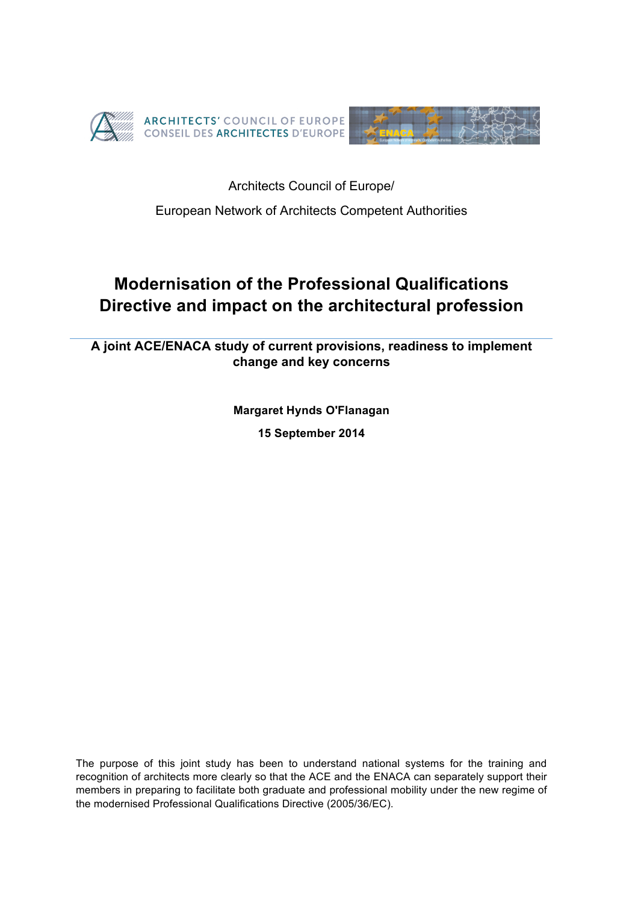



Architects Council of Europe/

European Network of Architects Competent Authorities

# **Modernisation of the Professional Qualifications Directive and impact on the architectural profession**

**A joint ACE/ENACA study of current provisions, readiness to implement change and key concerns**

> **Margaret Hynds O'Flanagan 15 September 2014**

The purpose of this joint study has been to understand national systems for the training and recognition of architects more clearly so that the ACE and the ENACA can separately support their members in preparing to facilitate both graduate and professional mobility under the new regime of the modernised Professional Qualifications Directive (2005/36/EC).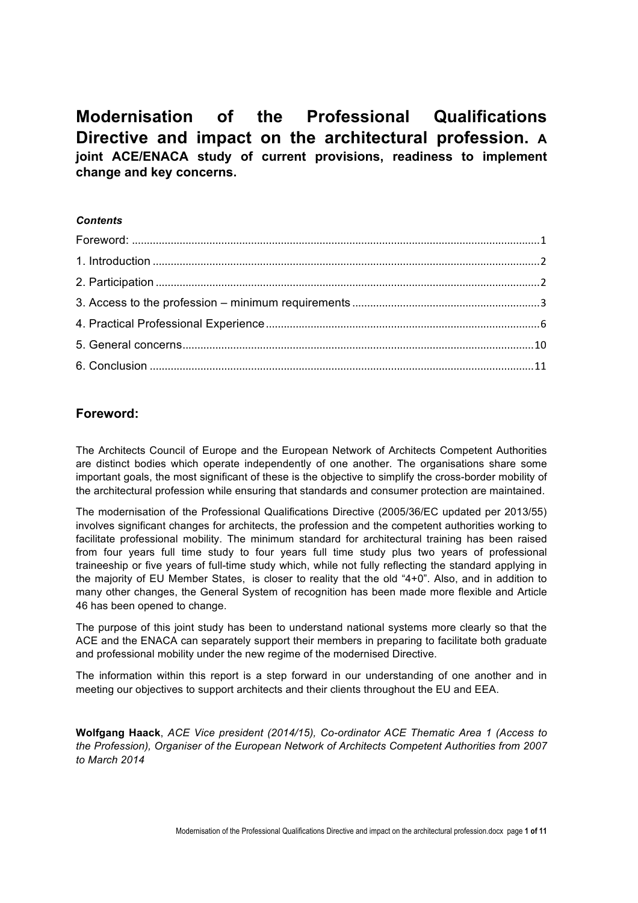**Modernisation of the Professional Qualifications Directive and impact on the architectural profession. A joint ACE/ENACA study of current provisions, readiness to implement change and key concerns.**

### *Contents*

# **Foreword:**

The Architects Council of Europe and the European Network of Architects Competent Authorities are distinct bodies which operate independently of one another. The organisations share some important goals, the most significant of these is the objective to simplify the cross-border mobility of the architectural profession while ensuring that standards and consumer protection are maintained.

The modernisation of the Professional Qualifications Directive (2005/36/EC updated per 2013/55) involves significant changes for architects, the profession and the competent authorities working to facilitate professional mobility. The minimum standard for architectural training has been raised from four years full time study to four years full time study plus two years of professional traineeship or five years of full-time study which, while not fully reflecting the standard applying in the majority of EU Member States, is closer to reality that the old "4+0". Also, and in addition to many other changes, the General System of recognition has been made more flexible and Article 46 has been opened to change.

The purpose of this joint study has been to understand national systems more clearly so that the ACE and the ENACA can separately support their members in preparing to facilitate both graduate and professional mobility under the new regime of the modernised Directive.

The information within this report is a step forward in our understanding of one another and in meeting our objectives to support architects and their clients throughout the EU and EEA.

**Wolfgang Haack**, *ACE Vice president (2014/15), Co-ordinator ACE Thematic Area 1 (Access to the Profession), Organiser of the European Network of Architects Competent Authorities from 2007 to March 2014*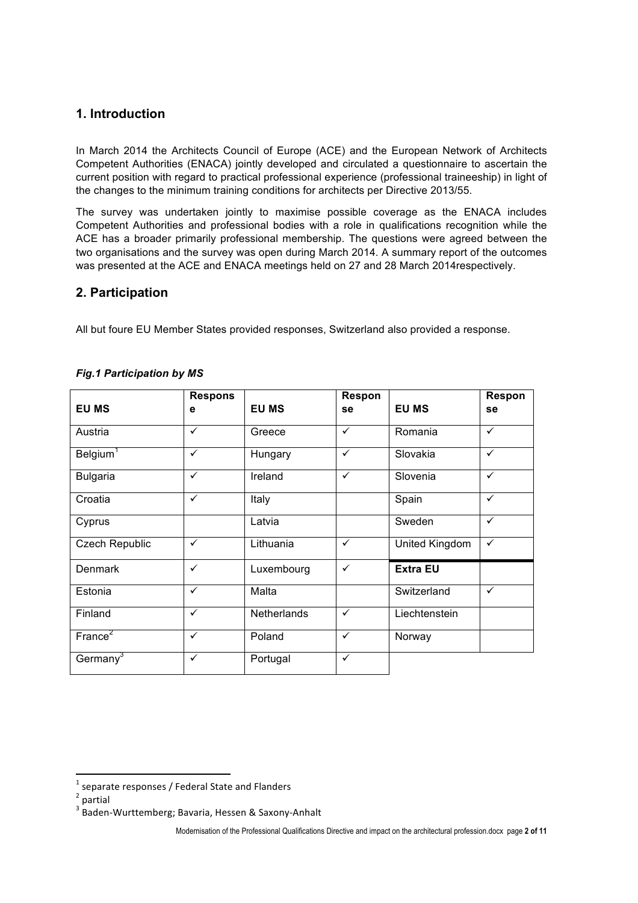# **1. Introduction**

In March 2014 the Architects Council of Europe (ACE) and the European Network of Architects Competent Authorities (ENACA) jointly developed and circulated a questionnaire to ascertain the current position with regard to practical professional experience (professional traineeship) in light of the changes to the minimum training conditions for architects per Directive 2013/55.

The survey was undertaken jointly to maximise possible coverage as the ENACA includes Competent Authorities and professional bodies with a role in qualifications recognition while the ACE has a broader primarily professional membership. The questions were agreed between the two organisations and the survey was open during March 2014. A summary report of the outcomes was presented at the ACE and ENACA meetings held on 27 and 28 March 2014respectively.

# **2. Participation**

All but foure EU Member States provided responses, Switzerland also provided a response.

|                       | <b>Respons</b> |              | Respon       |                 | Respon       |
|-----------------------|----------------|--------------|--------------|-----------------|--------------|
| <b>EU MS</b>          | е              | <b>EU MS</b> | se           | <b>EU MS</b>    | se           |
| Austria               | ✓              | Greece       | $\checkmark$ | Romania         | $\checkmark$ |
| Belgium <sup>1</sup>  | $\checkmark$   | Hungary      | $\checkmark$ | Slovakia        | ✓            |
| <b>Bulgaria</b>       | ✓              | Ireland      | $\checkmark$ | Slovenia        | ✓            |
| Croatia               | $\checkmark$   | Italy        |              | Spain           | ✓            |
| Cyprus                |                | Latvia       |              | Sweden          | ✓            |
| <b>Czech Republic</b> | $\checkmark$   | Lithuania    | $\checkmark$ | United Kingdom  | ✓            |
| Denmark               | ✓              | Luxembourg   | $\checkmark$ | <b>Extra EU</b> |              |
| Estonia               | $\checkmark$   | Malta        |              | Switzerland     | ✓            |
| Finland               | ✓              | Netherlands  | $\checkmark$ | Liechtenstein   |              |
| $France^2$            | ✓              | Poland       | $\checkmark$ | Norway          |              |
| Germany <sup>3</sup>  | $\checkmark$   | Portugal     | ✓            |                 |              |

### *Fig.1 Participation by MS*

!!!!!!!!!!!!!!!!!!!!!!!!!!!!!!!!!!!!!!!!!!!!!!!!!!!!!!!!!!!!

 $1$  separate responses / Federal State and Flanders

 $2$  partial

<sup>3</sup> Baden-Wurttemberg; Bavaria, Hessen & Saxony-Anhalt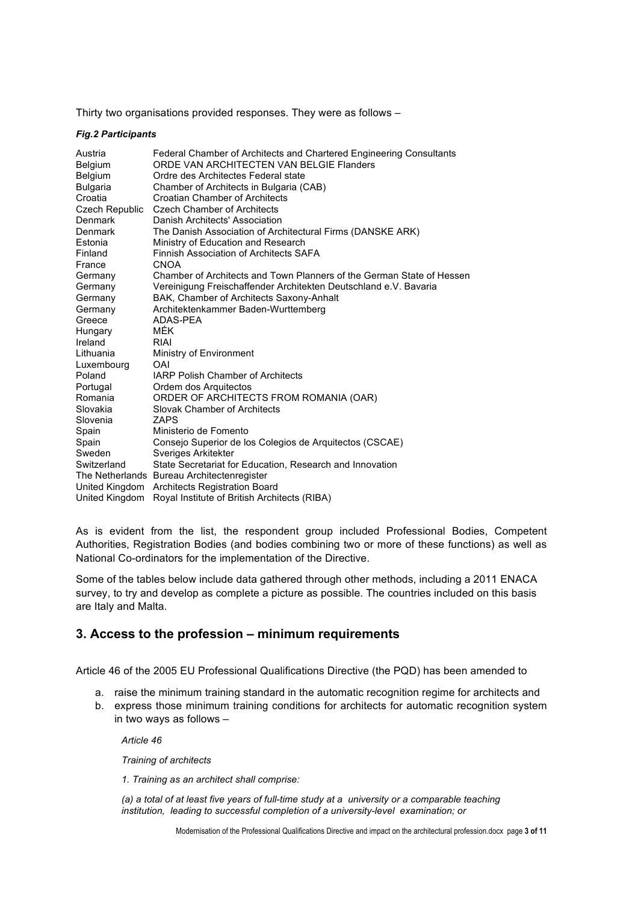Thirty two organisations provided responses. They were as follows –

#### *Fig.2 Participants*

| Austria         | Federal Chamber of Architects and Chartered Engineering Consultants   |
|-----------------|-----------------------------------------------------------------------|
| <b>Belgium</b>  | ORDE VAN ARCHITECTEN VAN BELGIE Flanders                              |
| Belgium         | Ordre des Architectes Federal state                                   |
| <b>Bulgaria</b> | Chamber of Architects in Bulgaria (CAB)                               |
| Croatia         | Croatian Chamber of Architects                                        |
| Czech Republic  | <b>Czech Chamber of Architects</b>                                    |
| Denmark         | Danish Architects' Association                                        |
| Denmark         | The Danish Association of Architectural Firms (DANSKE ARK)            |
| Estonia         | Ministry of Education and Research                                    |
| Finland         | Finnish Association of Architects SAFA                                |
| France          | <b>CNOA</b>                                                           |
| Germany         | Chamber of Architects and Town Planners of the German State of Hessen |
| Germany         | Vereinigung Freischaffender Architekten Deutschland e.V. Bavaria      |
| Germany         | BAK, Chamber of Architects Saxony-Anhalt                              |
| Germany         | Architektenkammer Baden-Wurttemberg                                   |
| Greece          | ADAS-PEA                                                              |
| Hungary         | <b>MÉK</b>                                                            |
| Ireland         | RIAI                                                                  |
| Lithuania       | Ministry of Environment                                               |
| Luxembourg      | OAI                                                                   |
| Poland          | <b>IARP Polish Chamber of Architects</b>                              |
| Portugal        | Ordem dos Arquitectos                                                 |
| Romania         | ORDER OF ARCHITECTS FROM ROMANIA (OAR)                                |
| Slovakia        | Slovak Chamber of Architects                                          |
| Slovenia        | ZAPS                                                                  |
| Spain           | Ministerio de Fomento                                                 |
| Spain           | Consejo Superior de los Colegios de Arquitectos (CSCAE)               |
| Sweden          | Sveriges Arkitekter                                                   |
| Switzerland     | State Secretariat for Education, Research and Innovation              |
|                 | The Netherlands Bureau Architectenregister                            |
| United Kingdom  | <b>Architects Registration Board</b>                                  |
| United Kingdom  | Royal Institute of British Architects (RIBA)                          |

As is evident from the list, the respondent group included Professional Bodies, Competent Authorities, Registration Bodies (and bodies combining two or more of these functions) as well as National Co-ordinators for the implementation of the Directive.

Some of the tables below include data gathered through other methods, including a 2011 ENACA survey, to try and develop as complete a picture as possible. The countries included on this basis are Italy and Malta.

## **3. Access to the profession – minimum requirements**

Article 46 of the 2005 EU Professional Qualifications Directive (the PQD) has been amended to

- a. raise the minimum training standard in the automatic recognition regime for architects and
- b. express those minimum training conditions for architects for automatic recognition system in two ways as follows –

*Article 46*

*Training of architects*

*1. Training as an architect shall comprise:*

*(a) a total of at least five years of full-time study at a university or a comparable teaching institution, leading to successful completion of a university-level examination; or*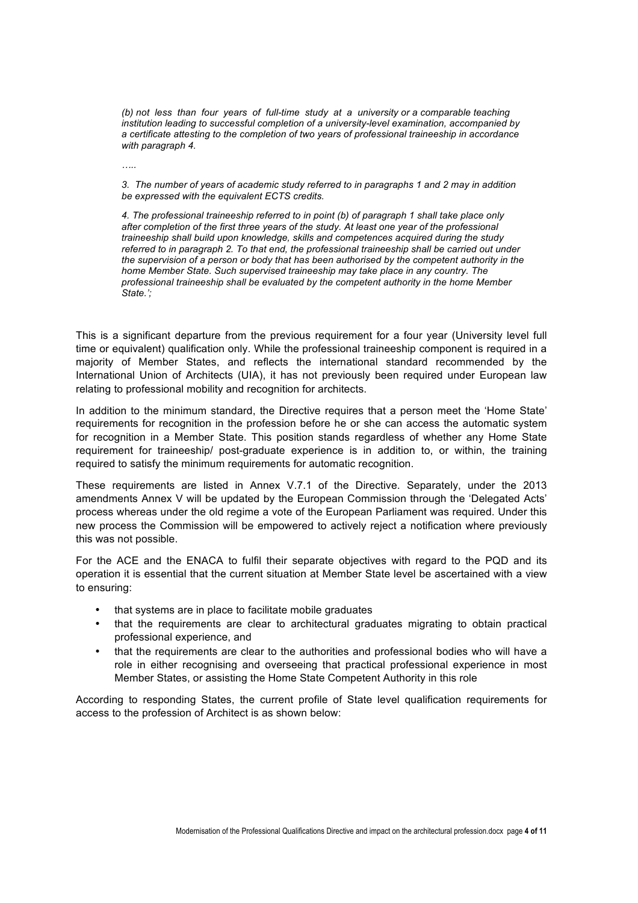*(b) not less than four years of full-time study at a university or a comparable teaching institution leading to successful completion of a university-level examination, accompanied by a certificate attesting to the completion of two years of professional traineeship in accordance with paragraph 4.*

*…..*

*3. The number of years of academic study referred to in paragraphs 1 and 2 may in addition be expressed with the equivalent ECTS credits.*

*4. The professional traineeship referred to in point (b) of paragraph 1 shall take place only after completion of the first three years of the study. At least one year of the professional traineeship shall build upon knowledge, skills and competences acquired during the study referred to in paragraph 2. To that end, the professional traineeship shall be carried out under the supervision of a person or body that has been authorised by the competent authority in the home Member State. Such supervised traineeship may take place in any country. The professional traineeship shall be evaluated by the competent authority in the home Member State.';*

This is a significant departure from the previous requirement for a four year (University level full time or equivalent) qualification only. While the professional traineeship component is required in a majority of Member States, and reflects the international standard recommended by the International Union of Architects (UIA), it has not previously been required under European law relating to professional mobility and recognition for architects.

In addition to the minimum standard, the Directive requires that a person meet the 'Home State' requirements for recognition in the profession before he or she can access the automatic system for recognition in a Member State. This position stands regardless of whether any Home State requirement for traineeship/ post-graduate experience is in addition to, or within, the training required to satisfy the minimum requirements for automatic recognition.

These requirements are listed in Annex V.7.1 of the Directive. Separately, under the 2013 amendments Annex V will be updated by the European Commission through the 'Delegated Acts' process whereas under the old regime a vote of the European Parliament was required. Under this new process the Commission will be empowered to actively reject a notification where previously this was not possible.

For the ACE and the ENACA to fulfil their separate objectives with regard to the PQD and its operation it is essential that the current situation at Member State level be ascertained with a view to ensuring:

- that systems are in place to facilitate mobile graduates
- that the requirements are clear to architectural graduates migrating to obtain practical professional experience, and
- that the requirements are clear to the authorities and professional bodies who will have a role in either recognising and overseeing that practical professional experience in most Member States, or assisting the Home State Competent Authority in this role

According to responding States, the current profile of State level qualification requirements for access to the profession of Architect is as shown below: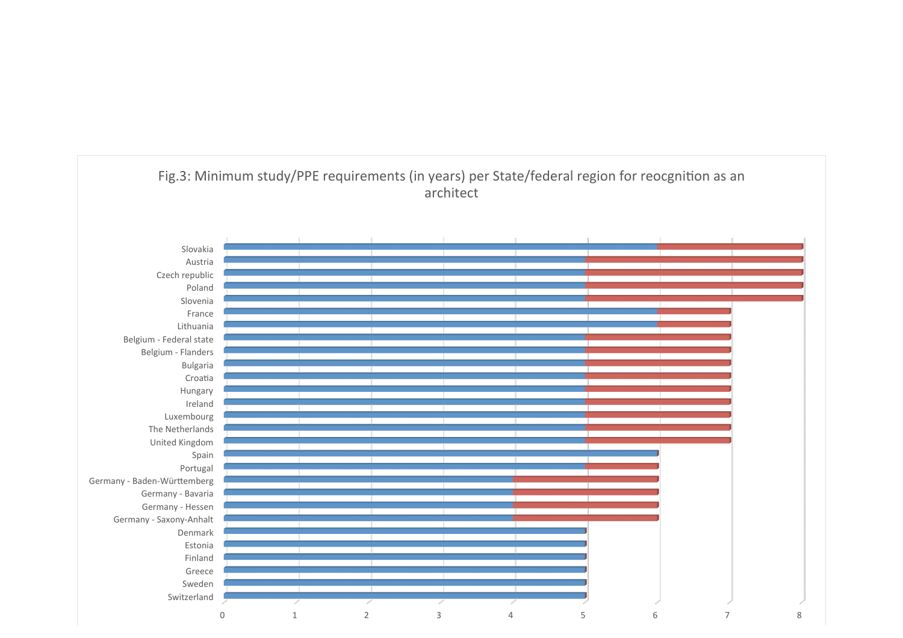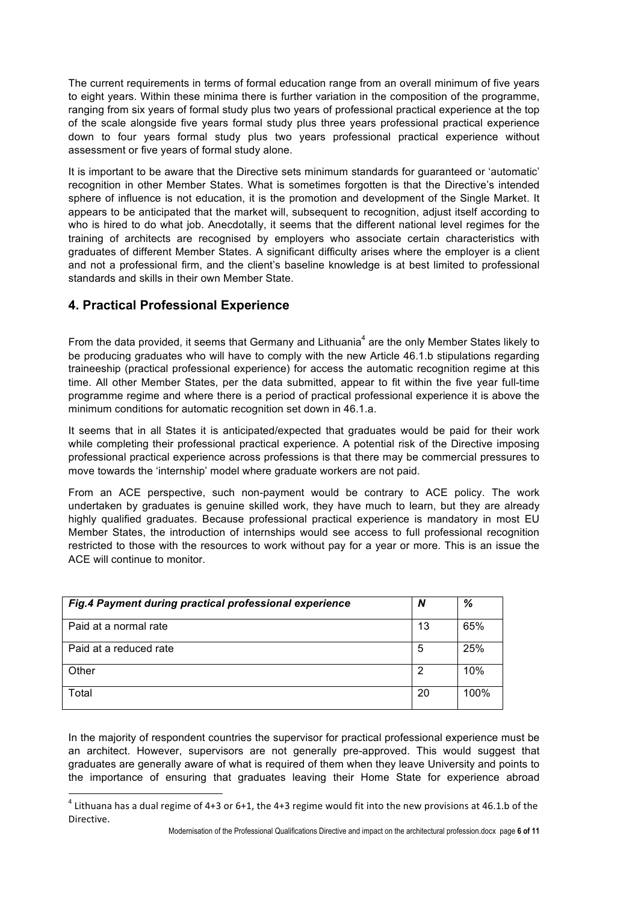The current requirements in terms of formal education range from an overall minimum of five years to eight years. Within these minima there is further variation in the composition of the programme, ranging from six years of formal study plus two years of professional practical experience at the top of the scale alongside five years formal study plus three years professional practical experience down to four years formal study plus two years professional practical experience without assessment or five years of formal study alone.

It is important to be aware that the Directive sets minimum standards for guaranteed or 'automatic' recognition in other Member States. What is sometimes forgotten is that the Directive's intended sphere of influence is not education, it is the promotion and development of the Single Market. It appears to be anticipated that the market will, subsequent to recognition, adjust itself according to who is hired to do what job. Anecdotally, it seems that the different national level regimes for the training of architects are recognised by employers who associate certain characteristics with graduates of different Member States. A significant difficulty arises where the employer is a client and not a professional firm, and the client's baseline knowledge is at best limited to professional standards and skills in their own Member State.

# **4. Practical Professional Experience**

!!!!!!!!!!!!!!!!!!!!!!!!!!!!!!!!!!!!!!!!!!!!!!!!!!!!!!!!!!!!

From the data provided, it seems that Germany and Lithuania<sup>4</sup> are the only Member States likely to be producing graduates who will have to comply with the new Article 46.1.b stipulations regarding traineeship (practical professional experience) for access the automatic recognition regime at this time. All other Member States, per the data submitted, appear to fit within the five year full-time programme regime and where there is a period of practical professional experience it is above the minimum conditions for automatic recognition set down in 46.1.a.

It seems that in all States it is anticipated/expected that graduates would be paid for their work while completing their professional practical experience. A potential risk of the Directive imposing professional practical experience across professions is that there may be commercial pressures to move towards the 'internship' model where graduate workers are not paid.

From an ACE perspective, such non-payment would be contrary to ACE policy. The work undertaken by graduates is genuine skilled work, they have much to learn, but they are already highly qualified graduates. Because professional practical experience is mandatory in most EU Member States, the introduction of internships would see access to full professional recognition restricted to those with the resources to work without pay for a year or more. This is an issue the ACE will continue to monitor.

| Fig.4 Payment during practical professional experience | N  | %    |
|--------------------------------------------------------|----|------|
| Paid at a normal rate                                  | 13 | 65%  |
| Paid at a reduced rate                                 | 5  | 25%  |
| Other                                                  | 2  | 10%  |
| Total                                                  | 20 | 100% |

In the majority of respondent countries the supervisor for practical professional experience must be an architect. However, supervisors are not generally pre-approved. This would suggest that graduates are generally aware of what is required of them when they leave University and points to the importance of ensuring that graduates leaving their Home State for experience abroad

 $4$  Lithuana has a dual regime of 4+3 or 6+1, the 4+3 regime would fit into the new provisions at 46.1.b of the Directive.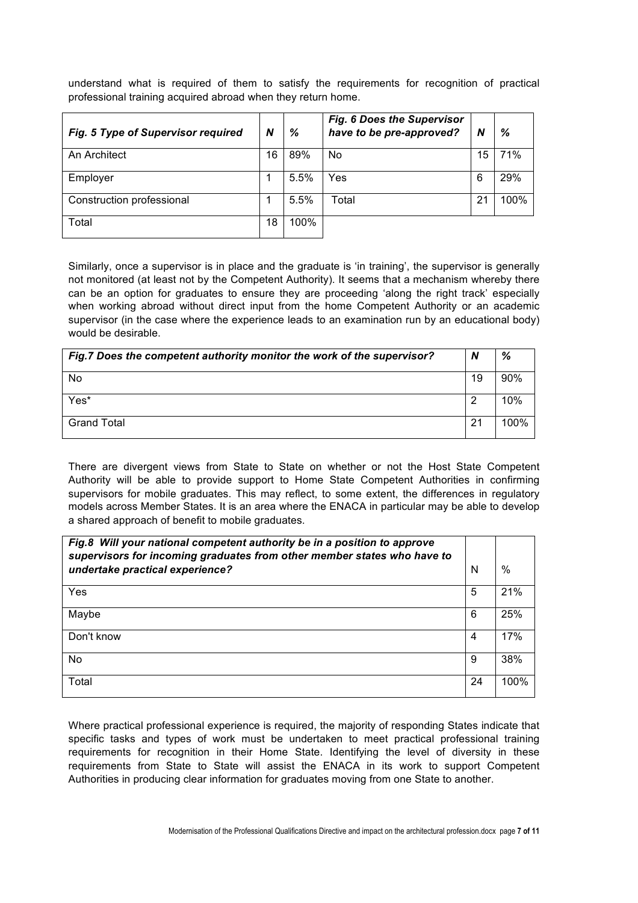understand what is required of them to satisfy the requirements for recognition of practical professional training acquired abroad when they return home.

| Fig. 5 Type of Supervisor required | N  | %    | <b>Fig. 6 Does the Supervisor</b><br>have to be pre-approved? | N  | %    |
|------------------------------------|----|------|---------------------------------------------------------------|----|------|
| An Architect                       | 16 | 89%  | No                                                            | 15 | 71%  |
| Employer                           |    | 5.5% | Yes                                                           | 6  | 29%  |
| Construction professional          |    | 5.5% | Total                                                         | 21 | 100% |
| Total                              | 18 | 100% |                                                               |    |      |

Similarly, once a supervisor is in place and the graduate is 'in training', the supervisor is generally not monitored (at least not by the Competent Authority). It seems that a mechanism whereby there can be an option for graduates to ensure they are proceeding 'along the right track' especially when working abroad without direct input from the home Competent Authority or an academic supervisor (in the case where the experience leads to an examination run by an educational body) would be desirable.

| Fig.7 Does the competent authority monitor the work of the supervisor? | N  | %    |
|------------------------------------------------------------------------|----|------|
| No                                                                     | 19 | 90%  |
| Yes*                                                                   | ⌒  | 10%  |
| <b>Grand Total</b>                                                     | 21 | 100% |

There are divergent views from State to State on whether or not the Host State Competent Authority will be able to provide support to Home State Competent Authorities in confirming supervisors for mobile graduates. This may reflect, to some extent, the differences in regulatory models across Member States. It is an area where the ENACA in particular may be able to develop a shared approach of benefit to mobile graduates.

| Fig.8 Will your national competent authority be in a position to approve<br>supervisors for incoming graduates from other member states who have to |    |      |
|-----------------------------------------------------------------------------------------------------------------------------------------------------|----|------|
| undertake practical experience?                                                                                                                     | N  | %    |
| Yes                                                                                                                                                 | 5  | 21%  |
| Maybe                                                                                                                                               | 6  | 25%  |
| Don't know                                                                                                                                          | 4  | 17%  |
| No                                                                                                                                                  | 9  | 38%  |
| Total                                                                                                                                               | 24 | 100% |

Where practical professional experience is required, the majority of responding States indicate that specific tasks and types of work must be undertaken to meet practical professional training requirements for recognition in their Home State. Identifying the level of diversity in these requirements from State to State will assist the ENACA in its work to support Competent Authorities in producing clear information for graduates moving from one State to another.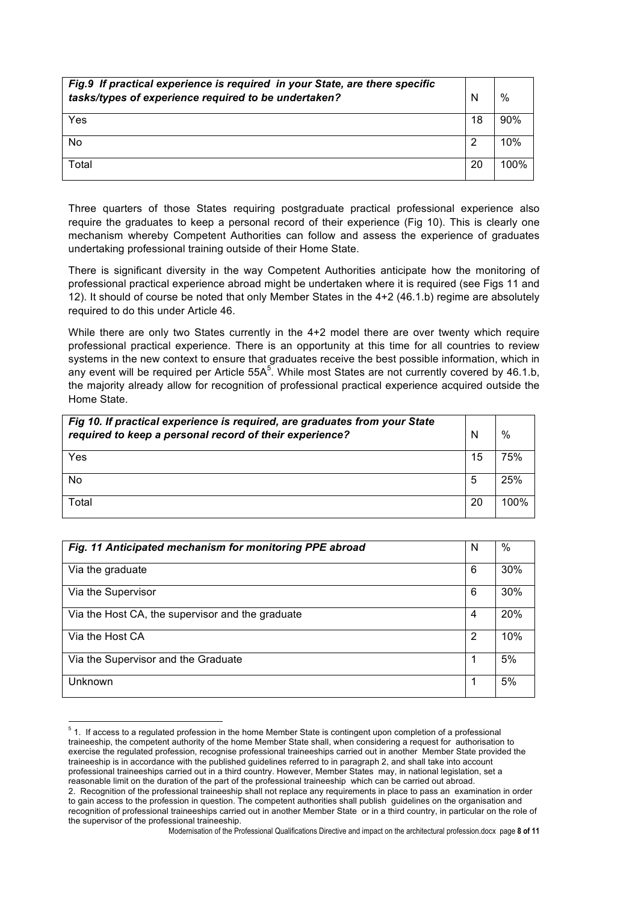| Fig.9 If practical experience is required in your State, are there specific<br>tasks/types of experience required to be undertaken? | N  | $\%$ |
|-------------------------------------------------------------------------------------------------------------------------------------|----|------|
| Yes                                                                                                                                 | 18 | 90%  |
| No                                                                                                                                  | 2  | 10%  |
| Total                                                                                                                               | 20 | 100% |

Three quarters of those States requiring postgraduate practical professional experience also require the graduates to keep a personal record of their experience (Fig 10). This is clearly one mechanism whereby Competent Authorities can follow and assess the experience of graduates undertaking professional training outside of their Home State.

There is significant diversity in the way Competent Authorities anticipate how the monitoring of professional practical experience abroad might be undertaken where it is required (see Figs 11 and 12). It should of course be noted that only Member States in the 4+2 (46.1.b) regime are absolutely required to do this under Article 46.

While there are only two States currently in the 4+2 model there are over twenty which require professional practical experience. There is an opportunity at this time for all countries to review systems in the new context to ensure that graduates receive the best possible information, which in any event will be required per Article 55A<sup>5</sup>. While most States are not currently covered by 46.1.b, the majority already allow for recognition of professional practical experience acquired outside the Home State.

| Fig 10. If practical experience is required, are graduates from your State<br>required to keep a personal record of their experience? |    | $\%$ |
|---------------------------------------------------------------------------------------------------------------------------------------|----|------|
| Yes                                                                                                                                   | 15 | 75%  |
| No                                                                                                                                    | 5  | 25%  |
| Total                                                                                                                                 | 20 | 100% |

| Fig. 11 Anticipated mechanism for monitoring PPE abroad | N | %   |
|---------------------------------------------------------|---|-----|
| Via the graduate                                        | 6 | 30% |
| Via the Supervisor                                      | 6 | 30% |
| Via the Host CA, the supervisor and the graduate        | 4 | 20% |
| Via the Host CA                                         | 2 | 10% |
| Via the Supervisor and the Graduate                     |   | 5%  |
| Unknown                                                 |   | 5%  |

<sup>&</sup>lt;sup>5</sup> 1. If access to a regulated profession in the home Member State is contingent upon completion of a professional traineeship, the competent authority of the home Member State shall, when considering a request for authorisation to exercise the regulated profession, recognise professional traineeships carried out in another Member State provided the traineeship is in accordance with the published guidelines referred to in paragraph 2, and shall take into account professional traineeships carried out in a third country. However, Member States may, in national legislation, set a reasonable limit on the duration of the part of the professional traineeship which can be carried out abroad.

!!!!!!!!!!!!!!!!!!!!!!!!!!!!!!!!!!!!!!!!!!!!!!!!!!!!!!!!!!!!

<sup>2.</sup> Recognition of the professional traineeship shall not replace any requirements in place to pass an examination in order to gain access to the profession in question. The competent authorities shall publish guidelines on the organisation and recognition of professional traineeships carried out in another Member State or in a third country, in particular on the role of the supervisor of the professional traineeship.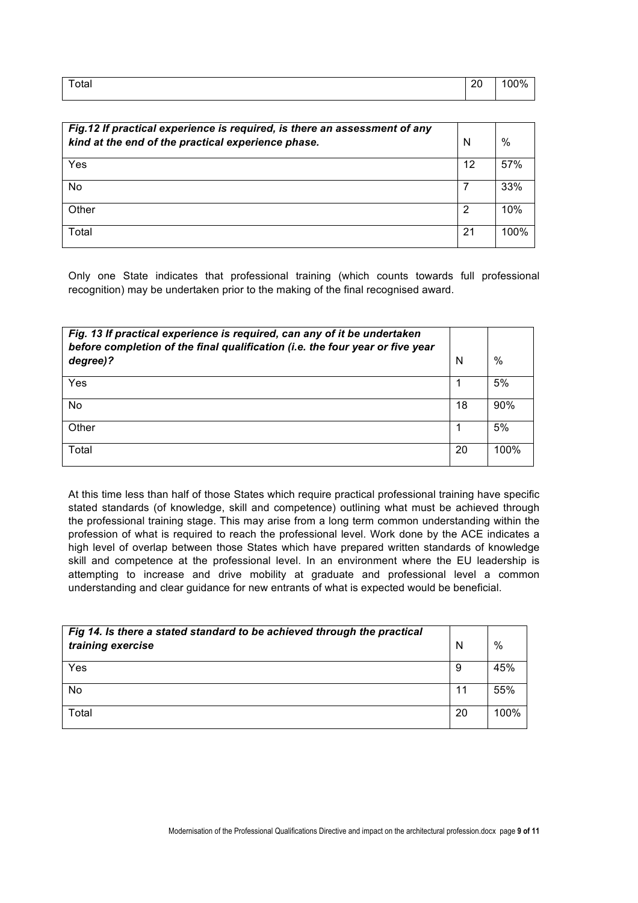| Total | - 20<br>∠∪ | . . |
|-------|------------|-----|
|       |            |     |

| Fig.12 If practical experience is required, is there an assessment of any<br>kind at the end of the practical experience phase. | N  | $\%$ |
|---------------------------------------------------------------------------------------------------------------------------------|----|------|
| Yes                                                                                                                             | 12 | 57%  |
| No                                                                                                                              |    | 33%  |
| Other                                                                                                                           | 2  | 10%  |
| Total                                                                                                                           | 21 | 100% |

Only one State indicates that professional training (which counts towards full professional recognition) may be undertaken prior to the making of the final recognised award.

| Fig. 13 If practical experience is required, can any of it be undertaken<br>before completion of the final qualification (i.e. the four year or five year |    |      |
|-----------------------------------------------------------------------------------------------------------------------------------------------------------|----|------|
| degree)?                                                                                                                                                  | N  | %    |
| Yes                                                                                                                                                       |    | 5%   |
| No                                                                                                                                                        | 18 | 90%  |
| Other                                                                                                                                                     |    | 5%   |
| Total                                                                                                                                                     | 20 | 100% |

At this time less than half of those States which require practical professional training have specific stated standards (of knowledge, skill and competence) outlining what must be achieved through the professional training stage. This may arise from a long term common understanding within the profession of what is required to reach the professional level. Work done by the ACE indicates a high level of overlap between those States which have prepared written standards of knowledge skill and competence at the professional level. In an environment where the EU leadership is attempting to increase and drive mobility at graduate and professional level a common understanding and clear guidance for new entrants of what is expected would be beneficial.

| Fig 14. Is there a stated standard to be achieved through the practical<br>training exercise | N  | $\%$ |
|----------------------------------------------------------------------------------------------|----|------|
| Yes                                                                                          | 9  | 45%  |
| No                                                                                           | 11 | 55%  |
| Total                                                                                        | 20 | 100% |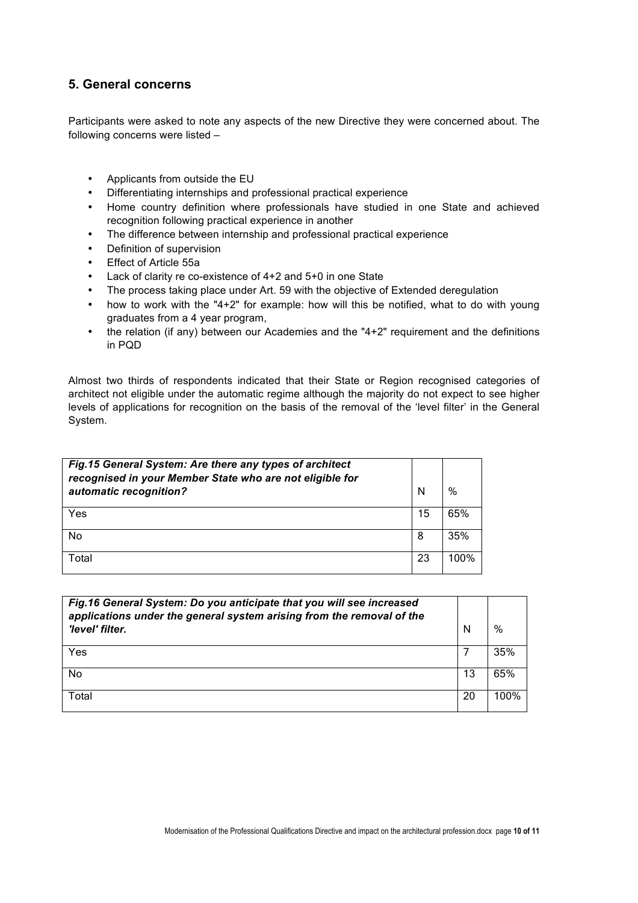# **5. General concerns**

Participants were asked to note any aspects of the new Directive they were concerned about. The following concerns were listed –

- Applicants from outside the EU
- Differentiating internships and professional practical experience
- Home country definition where professionals have studied in one State and achieved recognition following practical experience in another
- The difference between internship and professional practical experience
- Definition of supervision
- Effect of Article 55a
- Lack of clarity re co-existence of 4+2 and 5+0 in one State
- The process taking place under Art. 59 with the objective of Extended deregulation
- how to work with the "4+2" for example: how will this be notified, what to do with young graduates from a 4 year program,
- the relation (if any) between our Academies and the "4+2" requirement and the definitions in PQD

Almost two thirds of respondents indicated that their State or Region recognised categories of architect not eligible under the automatic regime although the majority do not expect to see higher levels of applications for recognition on the basis of the removal of the 'level filter' in the General System.

| Fig.15 General System: Are there any types of architect<br>recognised in your Member State who are not eligible for<br>automatic recognition? | N  | %    |
|-----------------------------------------------------------------------------------------------------------------------------------------------|----|------|
| Yes                                                                                                                                           | 15 | 65%  |
| No                                                                                                                                            | 8  | 35%  |
| Total                                                                                                                                         | 23 | 100% |

| Fig.16 General System: Do you anticipate that you will see increased<br>applications under the general system arising from the removal of the<br>'level' filter. | N  | $\%$ |
|------------------------------------------------------------------------------------------------------------------------------------------------------------------|----|------|
| Yes                                                                                                                                                              |    | 35%  |
| <b>No</b>                                                                                                                                                        | 13 | 65%  |
| Total                                                                                                                                                            | 20 | 100% |